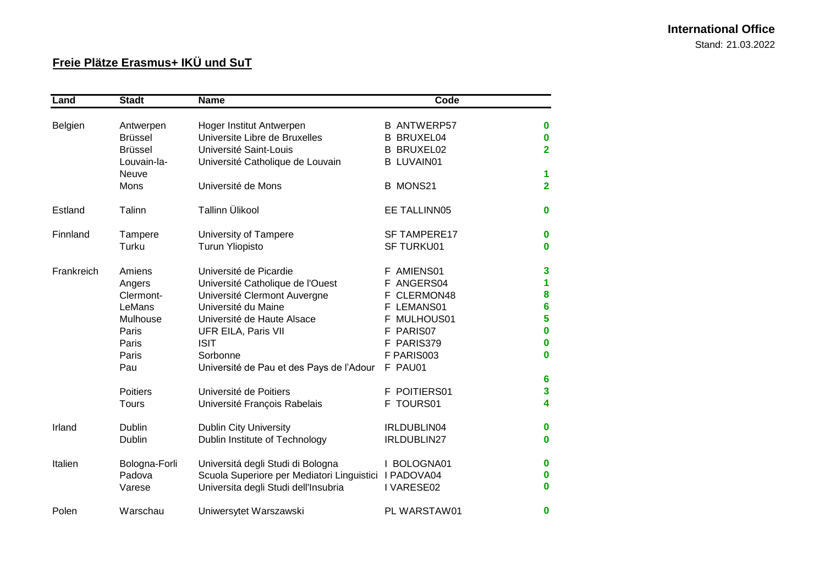## **International Office** Stand: 21.03.2022

## **Freie Plätze Erasmus+ IKÜ und SuT**

| Land       | <b>Stadt</b>    | <b>Name</b>                                           | Code                |                  |
|------------|-----------------|-------------------------------------------------------|---------------------|------------------|
|            |                 |                                                       |                     |                  |
| Belgien    | Antwerpen       | Hoger Institut Antwerpen                              | <b>B ANTWERP57</b>  | $\bf{0}$         |
|            | <b>Brüssel</b>  | Universite Libre de Bruxelles                         | <b>B BRUXEL04</b>   | $\bf{0}$         |
|            | <b>Brüssel</b>  | Université Saint-Louis                                | <b>B BRUXEL02</b>   | $\overline{2}$   |
|            | Louvain-la-     | Université Catholique de Louvain                      | <b>B LUVAIN01</b>   |                  |
|            | Neuve           |                                                       |                     | 1                |
|            | Mons            | Université de Mons                                    | <b>B MONS21</b>     | $\overline{2}$   |
| Estland    | Talinn          | Tallinn Ülikool                                       | EE TALLINN05        | 0                |
| Finnland   | Tampere         | University of Tampere                                 | <b>SF TAMPERE17</b> | $\bf{0}$         |
|            | Turku           | <b>Turun Yliopisto</b>                                | <b>SF TURKU01</b>   | 0                |
| Frankreich | Amiens          | Université de Picardie                                | F AMIENS01          | 3                |
|            | Angers          | Université Catholique de l'Ouest                      | F ANGERS04          | 1                |
|            | Clermont-       | Université Clermont Auvergne                          | CLERMON48<br>F.     | $\bf{8}$         |
|            | LeMans          | Université du Maine                                   | F LEMANS01          | $6\phantom{1}6$  |
|            | Mulhouse        | Université de Haute Alsace                            | MULHOUS01           | 5                |
|            | Paris           | UFR EILA, Paris VII                                   | F PARIS07           | $\bf{0}$         |
|            | Paris           | <b>ISIT</b>                                           | F PARIS379          | $\bf{0}$         |
|            | Paris           | Sorbonne                                              | F PARIS003          | $\bf{0}$         |
|            | Pau             | Université de Pau et des Pays de l'Adour              | F PAU01             |                  |
|            |                 |                                                       |                     | $6\phantom{1}6$  |
|            | <b>Poitiers</b> | Université de Poitiers                                | F POITIERS01        | 3                |
|            | Tours           | Université François Rabelais                          | F TOURS01           | 4                |
| Irland     | Dublin          | <b>Dublin City University</b>                         | IRLDUBLIN04         | $\bf{0}$         |
|            | Dublin          | Dublin Institute of Technology                        | IRLDUBLIN27         | 0                |
| Italien    | Bologna-Forli   | Universitá degli Studi di Bologna                     | I BOLOGNA01         | $\bf{0}$         |
|            | Padova          | Scuola Superiore per Mediatori Linguistici I PADOVA04 |                     | $\boldsymbol{0}$ |
|            | Varese          | Universita degli Studi dell'Insubria                  | I VARESE02          | $\bf{0}$         |
| Polen      | Warschau        | Uniwersytet Warszawski                                | PL WARSTAW01        | $\bf{0}$         |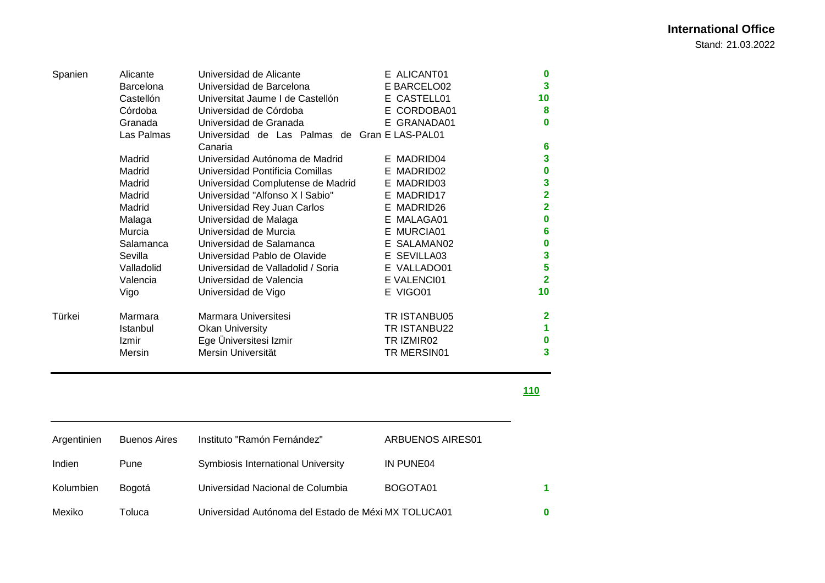Stand: 21.03.2022

| Spanien | Alicante         | Universidad de Alicante                       | E ALICANT01  | 0                       |
|---------|------------------|-----------------------------------------------|--------------|-------------------------|
|         | <b>Barcelona</b> | Universidad de Barcelona                      | E BARCELO02  | 3                       |
|         | Castellón        | Universitat Jaume I de Castellón              | E CASTELL01  | 10                      |
|         | Córdoba          | Universidad de Córdoba                        | E CORDOBA01  | 8                       |
|         | Granada          | Universidad de Granada                        | E GRANADA01  | $\bf{0}$                |
|         | Las Palmas       | Universidad de Las Palmas de Gran E LAS-PAL01 |              |                         |
|         |                  | Canaria                                       |              | 6                       |
|         | Madrid           | Universidad Autónoma de Madrid                | E MADRID04   | 3                       |
|         | Madrid           | Universidad Pontificia Comillas               | E MADRID02   | $\bf{0}$                |
|         | Madrid           | Universidad Complutense de Madrid             | E MADRID03   | 3                       |
|         | Madrid           | Universidad "Alfonso X I Sabio"               | E MADRID17   | $\overline{\mathbf{2}}$ |
|         | Madrid           | Universidad Rey Juan Carlos                   | E MADRID26   | 2                       |
|         | Malaga           | Universidad de Malaga                         | E MALAGA01   | 0                       |
|         | Murcia           | Universidad de Murcia                         | E MURCIA01   | 6                       |
|         | Salamanca        | Universidad de Salamanca                      | E SALAMAN02  | 0                       |
|         | Sevilla          | Universidad Pablo de Olavide                  | E SEVILLA03  | 3                       |
|         | Valladolid       | Universidad de Valladolid / Soria             | E VALLADO01  | 5                       |
|         | Valencia         | Universidad de Valencia                       | E VALENCI01  | $\overline{2}$          |
|         | Vigo             | Universidad de Vigo                           | E VIGO01     | 10                      |
| Türkei  | Marmara          | Marmara Universitesi                          | TR ISTANBU05 | 2                       |
|         | Istanbul         | <b>Okan University</b>                        | TR ISTANBU22 | 1                       |
|         | Izmir            | Ege Üniversitesi Izmir                        | TR IZMIR02   | 0                       |
|         | Mersin           | Mersin Universität                            | TR MERSIN01  | 3                       |

**110**

| Argentinien | <b>Buenos Aires</b> | Instituto "Ramón Fernández"                         | ARBUENOS AIRES01 |   |
|-------------|---------------------|-----------------------------------------------------|------------------|---|
| Indien      | Pune                | Symbiosis International University                  | IN PUNE04        |   |
| Kolumbien   | Bogotá              | Universidad Nacional de Columbia                    | BOGOTA01         | 1 |
| Mexiko      | Гоluca              | Universidad Autónoma del Estado de Méxi MX TOLUCA01 |                  |   |